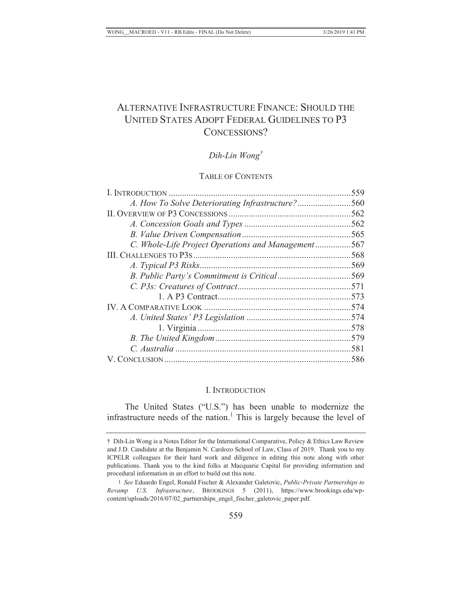# ALTERNATIVE INFRASTRUCTURE FINANCE: SHOULD THE UNITED STATES ADOPT FEDERAL GUIDELINES TO P3 CONCESSIONS?

## *Dih-Lin Wong†*

#### TABLE OF CONTENTS

| A. How To Solve Deteriorating Infrastructure?560   |  |
|----------------------------------------------------|--|
|                                                    |  |
|                                                    |  |
|                                                    |  |
| C. Whole-Life Project Operations and Management567 |  |
|                                                    |  |
|                                                    |  |
|                                                    |  |
|                                                    |  |
|                                                    |  |
|                                                    |  |
|                                                    |  |
|                                                    |  |
|                                                    |  |
|                                                    |  |
|                                                    |  |
|                                                    |  |

#### I. INTRODUCTION

The United States ("U.S.") has been unable to modernize the infrastructure needs of the nation.<sup>1</sup> This is largely because the level of

<sup>†</sup> Dih-Lin Wong is a Notes Editor for the International Comparative, Policy & Ethics Law Review and J.D. Candidate at the Benjamin N. Cardozo School of Law, Class of 2019. Thank you to my ICPELR colleagues for their hard work and diligence in editing this note along with other publications. Thank you to the kind folks at Macquarie Capital for providing information and procedural information in an effort to build out this note.

<sup>1</sup> *See* Eduardo Engel, Ronald Fischer & Alexander Galetovic, *Public-Private Partnerships to Revamp U.S. Infrastructure*, BROOKINGS 5 (2011), https://www.brookings.edu/wpcontent/uploads/2016/07/02\_partnerships\_engel\_fischer\_galetovic\_paper.pdf.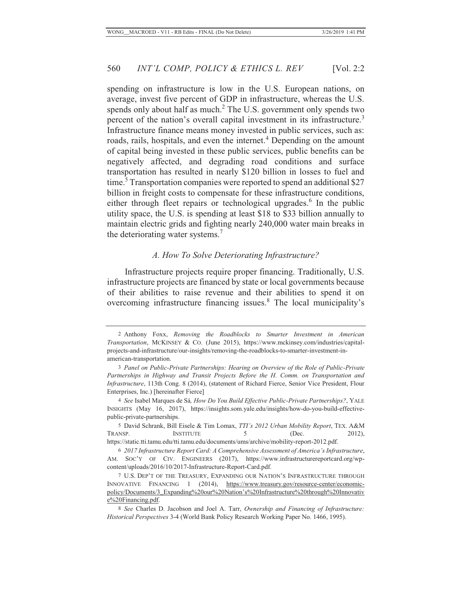spending on infrastructure is low in the U.S. European nations, on average, invest five percent of GDP in infrastructure, whereas the U.S. spends only about half as much.<sup>2</sup> The U.S. government only spends two percent of the nation's overall capital investment in its infrastructure.<sup>3</sup> Infrastructure finance means money invested in public services, such as: roads, rails, hospitals, and even the internet.<sup>4</sup> Depending on the amount of capital being invested in these public services, public benefits can be negatively affected, and degrading road conditions and surface transportation has resulted in nearly \$120 billion in losses to fuel and time.<sup>5</sup> Transportation companies were reported to spend an additional \$27 billion in freight costs to compensate for these infrastructure conditions, either through fleet repairs or technological upgrades.<sup>6</sup> In the public utility space, the U.S. is spending at least \$18 to \$33 billion annually to maintain electric grids and fighting nearly 240,000 water main breaks in the deteriorating water systems.<sup>7</sup>

#### *A. How To Solve Deteriorating Infrastructure?*

Infrastructure projects require proper financing. Traditionally, U.S. infrastructure projects are financed by state or local governments because of their abilities to raise revenue and their abilities to spend it on overcoming infrastructure financing issues.<sup>8</sup> The local municipality's

 5 David Schrank, Bill Eisele & Tim Lomax, *TTI's 2012 Urban Mobility Report*, TEX. A&M TRANSP. INSTITUTE 5 (Dec. 2012), https://static.tti.tamu.edu/tti.tamu.edu/documents/ums/archive/mobility-report-2012.pdf.

<sup>2</sup> Anthony Foxx, *Removing the Roadblocks to Smarter Investment in American Transportation*, MCKINSEY & CO. (June 2015), https://www.mckinsey.com/industries/capitalprojects-and-infrastructure/our-insights/removing-the-roadblocks-to-smarter-investment-inamerican-transportation.

<sup>3</sup> *Panel on Public-Private Partnerships: Hearing on Overview of the Role of Public-Private Partnerships in Highway and Transit Projects Before the H. Comm. on Transportation and Infrastructure*, 113th Cong. 8 (2014), (statement of Richard Fierce, Senior Vice President, Flour Enterprises, Inc.) [hereinafter Fierce]

 <sup>4</sup> *See* Isabel Marques de Sá*, How Do You Build Effective Public-Private Partnerships?*, YALE INSIGHTS (May 16, 2017), https://insights.som.yale.edu/insights/how-do-you-build-effectivepublic-private-partnerships.

 <sup>6</sup> *2017 Infrastructure Report Card: A Comprehensive Assessment of America's Infrastructure*, AM. SOC'Y OF CIV. ENGINEERS (2017), https://www.infrastructurereportcard.org/wpcontent/uploads/2016/10/2017-Infrastructure-Report-Card.pdf.

<sup>7</sup> U.S. DEP'T OF THE TREASURY, EXPANDING OUR NATION'S INFRASTRUCTURE THROUGH INNOVATIVE FINANCING 1 (2014), https://www.treasury.gov/resource-center/economicpolicy/Documents/3\_Expanding%20our%20Nation's%20Infrastructure%20through%20Innovativ e%20Financing.pdf.

<sup>8</sup> *See* Charles D. Jacobson and Joel A. Tarr, *Ownership and Financing of Infrastructure: Historical Perspectives* 3-4 (World Bank Policy Research Working Paper No. 1466, 1995).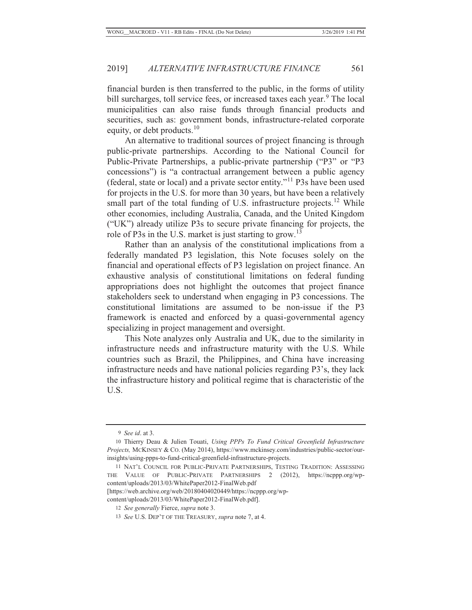financial burden is then transferred to the public, in the forms of utility bill surcharges, toll service fees, or increased taxes each year.<sup>9</sup> The local municipalities can also raise funds through financial products and securities, such as: government bonds, infrastructure-related corporate equity, or debt products. $10$ 

An alternative to traditional sources of project financing is through public-private partnerships. According to the National Council for Public-Private Partnerships, a public-private partnership ("P3" or "P3 concessions") is "a contractual arrangement between a public agency (federal, state or local) and a private sector entity."11 P3s have been used for projects in the U.S. for more than 30 years, but have been a relatively small part of the total funding of U.S. infrastructure projects.<sup>12</sup> While other economies, including Australia, Canada, and the United Kingdom ("UK") already utilize P3s to secure private financing for projects, the role of P3s in the U.S. market is just starting to grow.<sup>13</sup>

Rather than an analysis of the constitutional implications from a federally mandated P3 legislation, this Note focuses solely on the financial and operational effects of P3 legislation on project finance. An exhaustive analysis of constitutional limitations on federal funding appropriations does not highlight the outcomes that project finance stakeholders seek to understand when engaging in P3 concessions. The constitutional limitations are assumed to be non-issue if the P3 framework is enacted and enforced by a quasi-governmental agency specializing in project management and oversight.

This Note analyzes only Australia and UK, due to the similarity in infrastructure needs and infrastructure maturity with the U.S. While countries such as Brazil, the Philippines, and China have increasing infrastructure needs and have national policies regarding P3's, they lack the infrastructure history and political regime that is characteristic of the U.S.

<sup>9</sup> *See id*. at 3.

<sup>10</sup> Thierry Deau & Julien Touati, *Using PPPs To Fund Critical Greenfield Infrastructure Projects,* MCKINSEY & CO. (May 2014), https://www.mckinsey.com/industries/public-sector/ourinsights/using-ppps-to-fund-critical-greenfield-infrastructure-projects.

<sup>11</sup> NAT'L COUNCIL FOR PUBLIC-PRIVATE PARTNERSHIPS, TESTING TRADITION: ASSESSING THE VALUE OF PUBLIC-PRIVATE PARTNERSHIPS 2 (2012), https://ncppp.org/wpcontent/uploads/2013/03/WhitePaper2012-FinalWeb.pdf

<sup>[</sup>https://web.archive.org/web/20180404020449/https://ncppp.org/wp-

content/uploads/2013/03/WhitePaper2012-FinalWeb.pdf].

<sup>12</sup> *See generally* Fierce, *supra* note 3.

<sup>13</sup> *See* U.S. DEP'T OF THE TREASURY, *supra* note 7, at 4.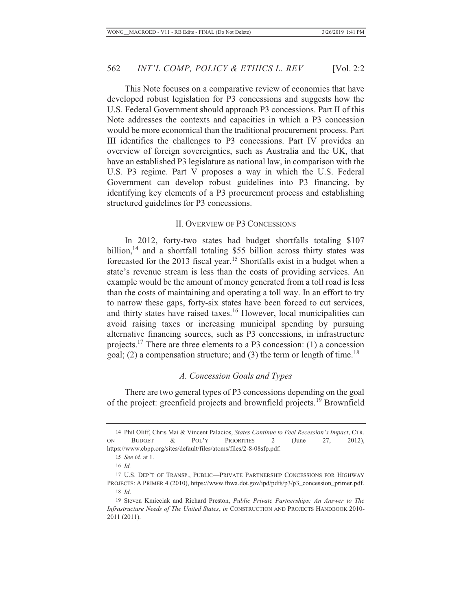This Note focuses on a comparative review of economies that have developed robust legislation for P3 concessions and suggests how the U.S. Federal Government should approach P3 concessions. Part II of this Note addresses the contexts and capacities in which a P3 concession would be more economical than the traditional procurement process. Part III identifies the challenges to P3 concessions. Part IV provides an overview of foreign sovereignties, such as Australia and the UK, that have an established P3 legislature as national law, in comparison with the U.S. P3 regime. Part V proposes a way in which the U.S. Federal Government can develop robust guidelines into P3 financing, by identifying key elements of a P3 procurement process and establishing structured guidelines for P3 concessions.

#### II. OVERVIEW OF P3 CONCESSIONS

In 2012, forty-two states had budget shortfalls totaling \$107 billion,<sup>14</sup> and a shortfall totaling \$55 billion across thirty states was forecasted for the 2013 fiscal year.<sup>15</sup> Shortfalls exist in a budget when a state's revenue stream is less than the costs of providing services. An example would be the amount of money generated from a toll road is less than the costs of maintaining and operating a toll way. In an effort to try to narrow these gaps, forty-six states have been forced to cut services, and thirty states have raised taxes.<sup>16</sup> However, local municipalities can avoid raising taxes or increasing municipal spending by pursuing alternative financing sources, such as P3 concessions, in infrastructure projects.17 There are three elements to a P3 concession: (1) a concession goal; (2) a compensation structure; and (3) the term or length of time.<sup>18</sup>

#### *A. Concession Goals and Types*

There are two general types of P3 concessions depending on the goal of the project: greenfield projects and brownfield projects.19 Brownfield

<sup>14</sup> Phil Oliff, Chris Mai & Vincent Palacios, *States Continue to Feel Recession's Impact*, CTR. ON BUDGET & POL'Y PRIORITIES 2 (June 27, 2012), https://www.cbpp.org/sites/default/files/atoms/files/2-8-08sfp.pdf.

<sup>15</sup> *See id.* at 1.

<sup>16</sup> *Id.*

<sup>17</sup> U.S. DEP'T OF TRANSP., PUBLIC—PRIVATE PARTNERSHIP CONCESSIONS FOR HIGHWAY PROJECTS: A PRIMER 4 (2010), https://www.fhwa.dot.gov/ipd/pdfs/p3/p3\_concession\_primer.pdf. 18 *Id*.

<sup>19</sup> Steven Kmieciak and Richard Preston, *Public Private Partnerships: An Answer to The Infrastructure Needs of The United States*, *in* CONSTRUCTION AND PROJECTS HANDBOOK 2010- 2011 (2011).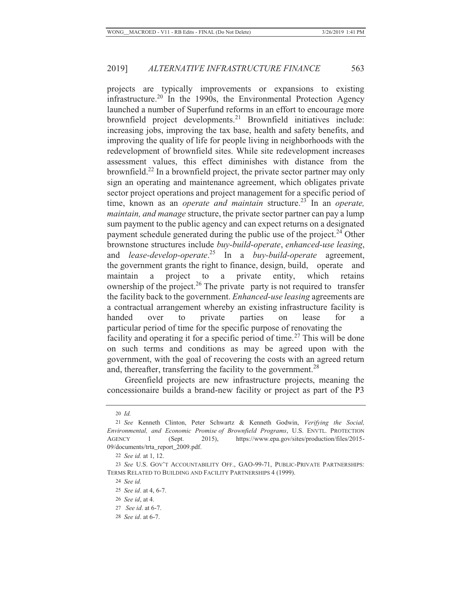projects are typically improvements or expansions to existing infrastructure.20 In the 1990s, the Environmental Protection Agency launched a number of Superfund reforms in an effort to encourage more brownfield project developments.<sup>21</sup> Brownfield initiatives include: increasing jobs, improving the tax base, health and safety benefits, and improving the quality of life for people living in neighborhoods with the redevelopment of brownfield sites. While site redevelopment increases assessment values, this effect diminishes with distance from the brownfield.22 In a brownfield project, the private sector partner may only sign an operating and maintenance agreement, which obligates private sector project operations and project management for a specific period of time, known as an *operate and maintain* structure.<sup>23</sup> In an *operate*, *maintain, and manage* structure, the private sector partner can pay a lump sum payment to the public agency and can expect returns on a designated payment schedule generated during the public use of the project. $24$  Other brownstone structures include *buy-build-operate*, *enhanced-use leasing*, and *lease-develop-operate*. 25 In a *buy-build-operate* agreement, the government grants the right to finance, design, build, operate and maintain a project to a private entity, which retains ownership of the project.<sup>26</sup> The private party is not required to transfer the facility back to the government. *Enhanced-use leasing* agreements are a contractual arrangement whereby an existing infrastructure facility is handed over to private parties on lease for a particular period of time for the specific purpose of renovating the facility and operating it for a specific period of time.<sup>27</sup> This will be done on such terms and conditions as may be agreed upon with the government, with the goal of recovering the costs with an agreed return and, thereafter, transferring the facility to the government.<sup>28</sup>

Greenfield projects are new infrastructure projects, meaning the concessionaire builds a brand-new facility or project as part of the P3

<sup>20</sup> *Id.*

<sup>21</sup> *See* Kenneth Clinton, Peter Schwartz & Kenneth Godwin, *Verifying the Social, Environmental, and Economic Promise of Brownfield Programs*, U.S. ENVTL. PROTECTION AGENCY 1 (Sept. 2015), https://www.epa.gov/sites/production/files/2015- 09/documents/trta\_report\_2009.pdf.

<sup>22</sup> *See id.* at 1, 12.

<sup>23</sup> *See* U.S. GOV'T ACCOUNTABILITY OFF., GAO-99-71, PUBLIC-PRIVATE PARTNERSHIPS: TERMS RELATED TO BUILDING AND FACILITY PARTNERSHIPS 4 (1999).

<sup>24</sup> *See id.*

<sup>25</sup> *See id*. at 4, 6-7.

<sup>26</sup> *See id*, at 4.

<sup>27</sup> *See id*. at 6-7.

<sup>28</sup> *See id*. at 6-7.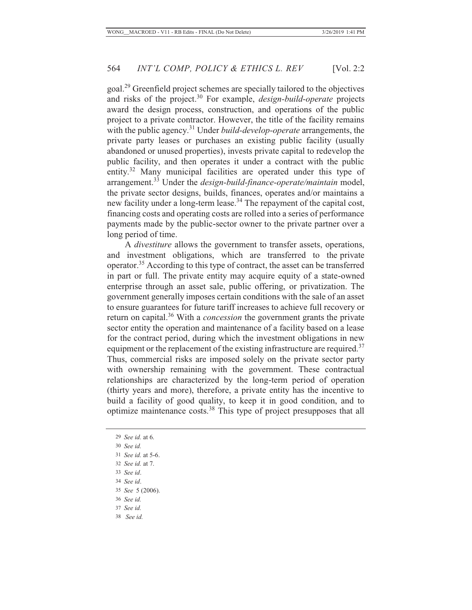goal.29 Greenfield project schemes are specially tailored to the objectives and risks of the project.30 For example, *design-build-operate* projects award the design process, construction, and operations of the public project to a private contractor. However, the title of the facility remains with the public agency.<sup>31</sup> Under *build-develop-operate* arrangements, the private party leases or purchases an existing public facility (usually abandoned or unused properties), invests private capital to redevelop the public facility, and then operates it under a contract with the public entity.<sup>32</sup> Many municipal facilities are operated under this type of arrangement.33 Under the *design-build-finance-operate/maintain* model, the private sector designs, builds, finances, operates and/or maintains a new facility under a long-term lease.34 The repayment of the capital cost, financing costs and operating costs are rolled into a series of performance payments made by the public-sector owner to the private partner over a long period of time.

A *divestiture* allows the government to transfer assets, operations, and investment obligations, which are transferred to the private operator.35 According to this type of contract, the asset can be transferred in part or full. The private entity may acquire equity of a state-owned enterprise through an asset sale, public offering, or privatization. The government generally imposes certain conditions with the sale of an asset to ensure guarantees for future tariff increases to achieve full recovery or return on capital.36 With a *concession* the government grants the private sector entity the operation and maintenance of a facility based on a lease for the contract period, during which the investment obligations in new equipment or the replacement of the existing infrastructure are required.<sup>37</sup> Thus, commercial risks are imposed solely on the private sector party with ownership remaining with the government. These contractual relationships are characterized by the long-term period of operation (thirty years and more), therefore, a private entity has the incentive to build a facility of good quality, to keep it in good condition, and to optimize maintenance costs.38 This type of project presupposes that all

- 32 *See id.* at 7.
- 33 *See id*.
- 34 *See id*.
- 35 *See* 5 (2006).
- 36 *See id.*
- 37 *See id.*
- 38 *See id.*

<sup>29</sup> *See id.* at 6.

<sup>30</sup> *See id.*

<sup>31</sup> *See id.* at 5-6.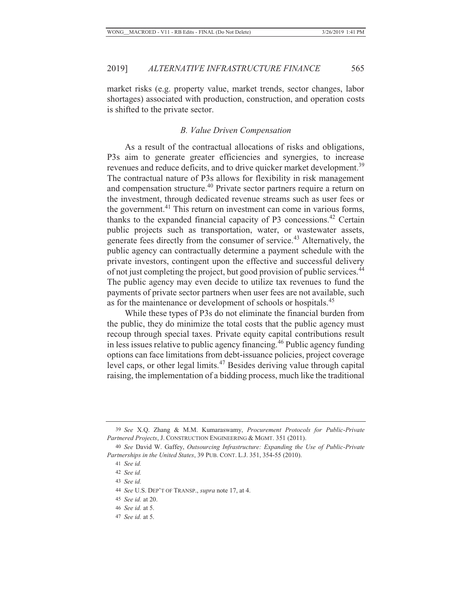market risks (e.g. property value, market trends, sector changes, labor shortages) associated with production, construction, and operation costs is shifted to the private sector.

#### *B. Value Driven Compensation*

As a result of the contractual allocations of risks and obligations, P3s aim to generate greater efficiencies and synergies, to increase revenues and reduce deficits, and to drive quicker market development.<sup>39</sup> The contractual nature of P3s allows for flexibility in risk management and compensation structure.40 Private sector partners require a return on the investment, through dedicated revenue streams such as user fees or the government.<sup>41</sup> This return on investment can come in various forms, thanks to the expanded financial capacity of P3 concessions.<sup>42</sup> Certain public projects such as transportation, water, or wastewater assets, generate fees directly from the consumer of service.<sup>43</sup> Alternatively, the public agency can contractually determine a payment schedule with the private investors, contingent upon the effective and successful delivery of not just completing the project, but good provision of public services.<sup>44</sup> The public agency may even decide to utilize tax revenues to fund the payments of private sector partners when user fees are not available, such as for the maintenance or development of schools or hospitals.<sup>45</sup>

While these types of P3s do not eliminate the financial burden from the public, they do minimize the total costs that the public agency must recoup through special taxes. Private equity capital contributions result in less issues relative to public agency financing.<sup>46</sup> Public agency funding options can face limitations from debt-issuance policies, project coverage level caps, or other legal limits.47 Besides deriving value through capital raising, the implementation of a bidding process, much like the traditional

<sup>39</sup> *See* X.Q. Zhang & M.M. Kumaraswamy, *Procurement Protocols for Public-Private Partnered Projects*, J. CONSTRUCTION ENGINEERING & MGMT. 351 (2011).

<sup>40</sup> *See* David W. Gaffey, *Outsourcing Infrastructure: Expanding the Use of Public-Private Partnerships in the United States*, 39 PUB. CONT. L.J. 351, 354-55 (2010).

<sup>41</sup> *See id.*

<sup>42</sup> *See id.*

<sup>43</sup> *See id.*

<sup>44</sup> *See* U.S. DEP'T OF TRANSP., *supra* note 17, at 4.

<sup>45</sup> *See id.* at 20.

<sup>46</sup> *See id.* at 5.

<sup>47</sup> *See id.* at 5.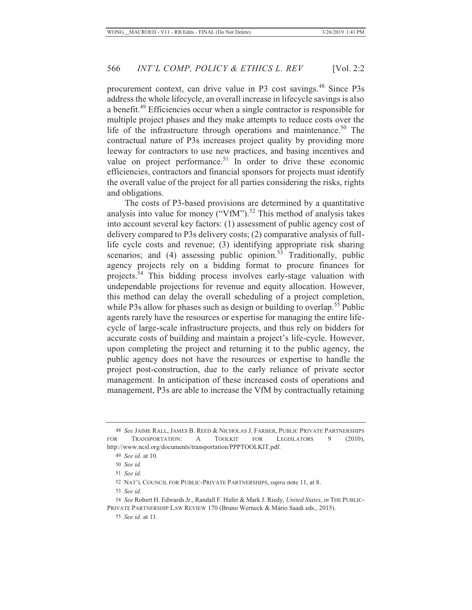procurement context, can drive value in P3 cost savings.<sup>48</sup> Since P3s address the whole lifecycle, an overall increase in lifecycle savings is also a benefit.49 Efficiencies occur when a single contractor is responsible for multiple project phases and they make attempts to reduce costs over the life of the infrastructure through operations and maintenance.<sup>50</sup> The contractual nature of P3s increases project quality by providing more leeway for contractors to use new practices, and basing incentives and value on project performance.<sup>51</sup> In order to drive these economic efficiencies, contractors and financial sponsors for projects must identify the overall value of the project for all parties considering the risks, rights and obligations.

The costs of P3-based provisions are determined by a quantitative analysis into value for money ("VfM").<sup>52</sup> This method of analysis takes into account several key factors: (1) assessment of public agency cost of delivery compared to P3s delivery costs; (2) comparative analysis of fulllife cycle costs and revenue; (3) identifying appropriate risk sharing scenarios; and  $(4)$  assessing public opinion.<sup>53</sup> Traditionally, public agency projects rely on a bidding format to procure finances for projects.<sup>54</sup> This bidding process involves early-stage valuation with undependable projections for revenue and equity allocation. However, this method can delay the overall scheduling of a project completion, while P3s allow for phases such as design or building to overlap.<sup>55</sup> Public agents rarely have the resources or expertise for managing the entire lifecycle of large-scale infrastructure projects, and thus rely on bidders for accurate costs of building and maintain a project's life-cycle. However, upon completing the project and returning it to the public agency, the public agency does not have the resources or expertise to handle the project post-construction, due to the early reliance of private sector management. In anticipation of these increased costs of operations and management, P3s are able to increase the VfM by contractually retaining

55 *See id.* at 11.

<sup>48</sup> *See* JAIME RALL, JAMES B. REED & NICHOLAS J. FARBER, PUBLIC PRIVATE PARTNERSHIPS FOR TRANSPORTATION: A TOOLKIT FOR LEGISLATORS 9 (2010), http://www.ncsl.org/documents/transportation/PPPTOOLKIT.pdf.

<sup>49</sup> *See id.* at 10.

<sup>50</sup> *See id.*

<sup>51</sup> *See id.*

<sup>52</sup> NAT'L COUNCIL FOR PUBLIC-PRIVATE PARTNERSHIPS, *supra* note 11, at 8.

<sup>53</sup> *See id.*

<sup>54</sup> *See* Robert H. Edwards Jr., Randall F. Hafer & Mark J. Riedy, *United States*, *in* THE PUBLIC-PRIVATE PARTNERSHIP LAW REVIEW 170 (Bruno Werneck & Mário Saadi eds., 2015).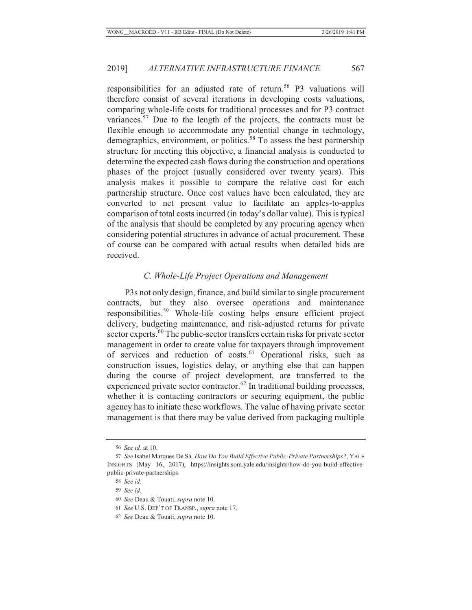responsibilities for an adjusted rate of return.<sup>56</sup> P3 valuations will therefore consist of several iterations in developing costs valuations, comparing whole-life costs for traditional processes and for P3 contract variances.57 Due to the length of the projects, the contracts must be flexible enough to accommodate any potential change in technology, demographics, environment, or politics.<sup>58</sup> To assess the best partnership structure for meeting this objective, a financial analysis is conducted to determine the expected cash flows during the construction and operations phases of the project (usually considered over twenty years). This analysis makes it possible to compare the relative cost for each partnership structure. Once cost values have been calculated, they are converted to net present value to facilitate an apples-to-apples comparison of total costs incurred (in today's dollar value). This is typical of the analysis that should be completed by any procuring agency when considering potential structures in advance of actual procurement. These of course can be compared with actual results when detailed bids are received.

## *C. Whole-Life Project Operations and Management*

P3s not only design, finance, and build similar to single procurement contracts, but they also oversee operations and maintenance responsibilities.59 Whole-life costing helps ensure efficient project delivery, budgeting maintenance, and risk-adjusted returns for private sector experts.<sup>60</sup> The public-sector transfers certain risks for private sector management in order to create value for taxpayers through improvement of services and reduction of costs.<sup>61</sup> Operational risks, such as construction issues, logistics delay, or anything else that can happen during the course of project development, are transferred to the experienced private sector contractor.<sup>62</sup> In traditional building processes, whether it is contacting contractors or securing equipment, the public agency has to initiate these workflows. The value of having private sector management is that there may be value derived from packaging multiple

<sup>56</sup> *See id*. at 10.

<sup>57</sup> *See* Isabel Marques De Sá*, How Do You Build Effective Public-Private Partnerships?*, YALE INSIGHTS (May 16, 2017), https://insights.som.yale.edu/insights/how-do-you-build-effectivepublic-private-partnerships.

<sup>58</sup> *See id*.

<sup>59</sup> *See id*.

<sup>60</sup> *See* Deau & Touati, *supra* note 10.

<sup>61</sup> *See* U.S. DEP'T OF TRANSP., *supra* note 17.

<sup>62</sup> *See* Deau & Touati, *supra* note 10.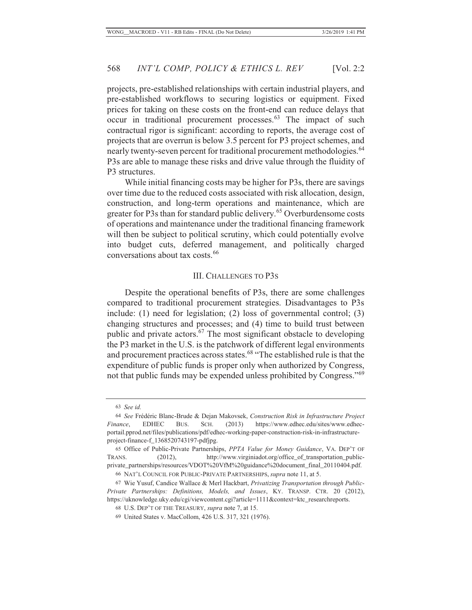projects, pre-established relationships with certain industrial players, and pre-established workflows to securing logistics or equipment. Fixed prices for taking on these costs on the front-end can reduce delays that occur in traditional procurement processes.<sup>63</sup> The impact of such contractual rigor is significant: according to reports, the average cost of projects that are overrun is below 3.5 percent for P3 project schemes, and nearly twenty-seven percent for traditional procurement methodologies.<sup>64</sup> P3s are able to manage these risks and drive value through the fluidity of P3 structures.

While initial financing costs may be higher for P3s, there are savings over time due to the reduced costs associated with risk allocation, design, construction, and long-term operations and maintenance, which are greater for P3s than for standard public delivery.<sup>65</sup> Overburdensome costs of operations and maintenance under the traditional financing framework will then be subject to political scrutiny, which could potentially evolve into budget cuts, deferred management, and politically charged conversations about tax costs.<sup>66</sup>

#### III. CHALLENGES TO P3S

Despite the operational benefits of P3s, there are some challenges compared to traditional procurement strategies. Disadvantages to P3s include: (1) need for legislation; (2) loss of governmental control; (3) changing structures and processes; and (4) time to build trust between public and private actors. $67$  The most significant obstacle to developing the P3 market in the U.S. is the patchwork of different legal environments and procurement practices across states.<sup>68</sup> "The established rule is that the expenditure of public funds is proper only when authorized by Congress, not that public funds may be expended unless prohibited by Congress."<sup>69</sup>

<sup>63</sup> *See id.*

<sup>64</sup> *See* Frédéric Blanc-Brude & Dejan Makovsek, *Construction Risk in Infrastructure Project Finance*, EDHEC BUS. SCH. (2013) https://www.edhec.edu/sites/www.edhecportail.pprod.net/files/publications/pdf/edhec-working-paper-construction-risk-in-infrastructureproject-finance-f\_1368520743197-pdfjpg.

<sup>65</sup> Office of Public-Private Partnerships, *PPTA Value for Money Guidance*, VA. DEP'T OF TRANS. (2012), http://www.virginiadot.org/office\_of\_transportation\_publicprivate\_partnerships/resources/VDOT%20VfM%20guidance%20document\_final\_20110404.pdf. 66 NAT'L COUNCIL FOR PUBLIC-PRIVATE PARTNERSHIPS, *supra* note 11, at 5.

<sup>67</sup> Wie Yusuf, Candice Wallace & Merl Hackbart, *Privatizing Transportation through Public-Private Partnerships: Definitions, Models, and Issues*, KY. TRANSP. CTR. 20 (2012), https://uknowledge.uky.edu/cgi/viewcontent.cgi?article=1111&context=ktc\_researchreports.

<sup>68</sup> U.S. DEP'T OF THE TREASURY, *supra* note 7, at 15.

<sup>69</sup> United States v. MacCollom, 426 U.S. 317, 321 (1976).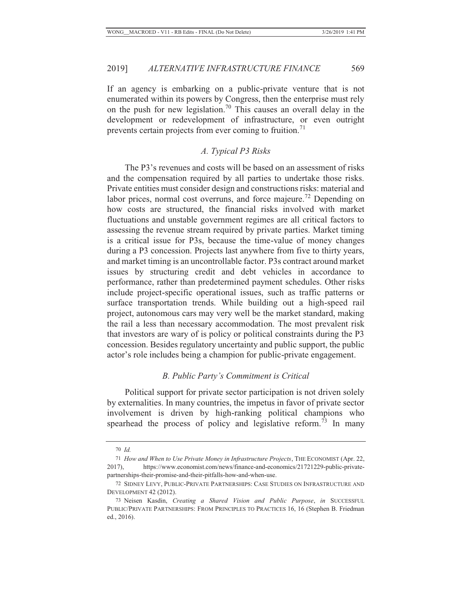If an agency is embarking on a public-private venture that is not enumerated within its powers by Congress, then the enterprise must rely on the push for new legislation.<sup>70</sup> This causes an overall delay in the development or redevelopment of infrastructure, or even outright prevents certain projects from ever coming to fruition.<sup>71</sup>

#### *A. Typical P3 Risks*

The P3's revenues and costs will be based on an assessment of risks and the compensation required by all parties to undertake those risks. Private entities must consider design and constructions risks: material and labor prices, normal cost overruns, and force majeure.<sup>72</sup> Depending on how costs are structured, the financial risks involved with market fluctuations and unstable government regimes are all critical factors to assessing the revenue stream required by private parties. Market timing is a critical issue for P3s, because the time-value of money changes during a P3 concession. Projects last anywhere from five to thirty years, and market timing is an uncontrollable factor. P3s contract around market issues by structuring credit and debt vehicles in accordance to performance, rather than predetermined payment schedules. Other risks include project-specific operational issues, such as traffic patterns or surface transportation trends. While building out a high-speed rail project, autonomous cars may very well be the market standard, making the rail a less than necessary accommodation. The most prevalent risk that investors are wary of is policy or political constraints during the P3 concession. Besides regulatory uncertainty and public support, the public actor's role includes being a champion for public-private engagement.

#### *B. Public Party's Commitment is Critical*

Political support for private sector participation is not driven solely by externalities. In many countries, the impetus in favor of private sector involvement is driven by high-ranking political champions who spearhead the process of policy and legislative reform.<sup>73</sup> In many

<sup>70</sup> *Id.*

<sup>71</sup> *How and When to Use Private Money in Infrastructure Projects*, THE ECONOMIST (Apr. 22, 2017), https://www.economist.com/news/finance-and-economics/21721229-public-privatepartnerships-their-promise-and-their-pitfalls-how-and-when-use.

<sup>72</sup> SIDNEY LEVY, PUBLIC-PRIVATE PARTNERSHIPS: CASE STUDIES ON INFRASTRUCTURE AND DEVELOPMENT 42 (2012).

<sup>73</sup> Neisen Kasdin, *Creating a Shared Vision and Public Purpose*, *in* SUCCESSFUL PUBLIC/PRIVATE PARTNERSHIPS: FROM PRINCIPLES TO PRACTICES 16, 16 (Stephen B. Friedman ed., 2016).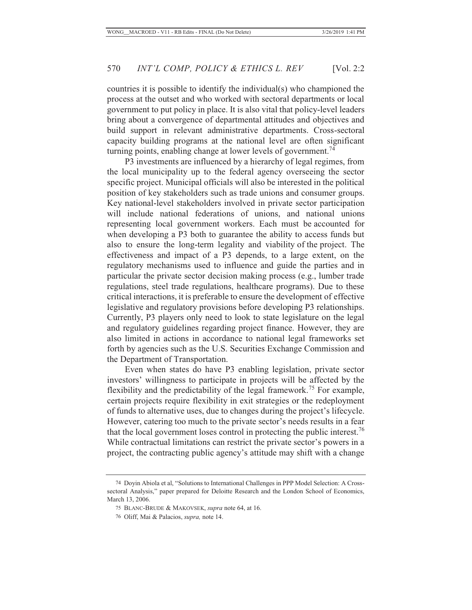countries it is possible to identify the individual(s) who championed the process at the outset and who worked with sectoral departments or local government to put policy in place. It is also vital that policy-level leaders bring about a convergence of departmental attitudes and objectives and build support in relevant administrative departments. Cross-sectoral capacity building programs at the national level are often significant turning points, enabling change at lower levels of government.<sup>74</sup>

P3 investments are influenced by a hierarchy of legal regimes, from the local municipality up to the federal agency overseeing the sector specific project. Municipal officials will also be interested in the political position of key stakeholders such as trade unions and consumer groups. Key national-level stakeholders involved in private sector participation will include national federations of unions, and national unions representing local government workers. Each must be accounted for when developing a P3 both to guarantee the ability to access funds but also to ensure the long-term legality and viability of the project. The effectiveness and impact of a P3 depends, to a large extent, on the regulatory mechanisms used to influence and guide the parties and in particular the private sector decision making process (e.g., lumber trade regulations, steel trade regulations, healthcare programs). Due to these critical interactions, it is preferable to ensure the development of effective legislative and regulatory provisions before developing P3 relationships. Currently, P3 players only need to look to state legislature on the legal and regulatory guidelines regarding project finance. However, they are also limited in actions in accordance to national legal frameworks set forth by agencies such as the U.S. Securities Exchange Commission and the Department of Transportation.

Even when states do have P3 enabling legislation, private sector investors' willingness to participate in projects will be affected by the flexibility and the predictability of the legal framework.<sup>75</sup> For example, certain projects require flexibility in exit strategies or the redeployment of funds to alternative uses, due to changes during the project's lifecycle. However, catering too much to the private sector's needs results in a fear that the local government loses control in protecting the public interest.<sup>76</sup> While contractual limitations can restrict the private sector's powers in a project, the contracting public agency's attitude may shift with a change

<sup>74</sup> Doyin Abiola et al, "Solutions to International Challenges in PPP Model Selection: A Crosssectoral Analysis," paper prepared for Deloitte Research and the London School of Economics, March 13, 2006.

<sup>75</sup> BLANC-BRUDE & MAKOVSEK, *supra* note 64, at 16.

<sup>76</sup> Oliff, Mai & Palacios, *supra,* note 14.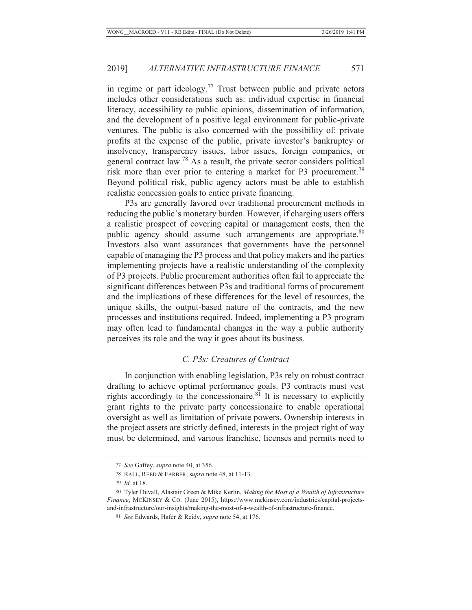in regime or part ideology.<sup>77</sup> Trust between public and private actors includes other considerations such as: individual expertise in financial literacy, accessibility to public opinions, dissemination of information, and the development of a positive legal environment for public-private ventures. The public is also concerned with the possibility of: private profits at the expense of the public, private investor's bankruptcy or insolvency, transparency issues, labor issues, foreign companies, or general contract law.78 As a result, the private sector considers political risk more than ever prior to entering a market for P3 procurement.<sup>79</sup> Beyond political risk, public agency actors must be able to establish realistic concession goals to entice private financing.

P3s are generally favored over traditional procurement methods in reducing the public's monetary burden. However, if charging users offers a realistic prospect of covering capital or management costs, then the public agency should assume such arrangements are appropriate.<sup>80</sup> Investors also want assurances that governments have the personnel capable of managing the P3 process and that policy makers and the parties implementing projects have a realistic understanding of the complexity of P3 projects. Public procurement authorities often fail to appreciate the significant differences between P3s and traditional forms of procurement and the implications of these differences for the level of resources, the unique skills, the output-based nature of the contracts, and the new processes and institutions required. Indeed, implementing a P3 program may often lead to fundamental changes in the way a public authority perceives its role and the way it goes about its business.

### *C. P3s: Creatures of Contract*

In conjunction with enabling legislation, P3s rely on robust contract drafting to achieve optimal performance goals. P3 contracts must vest rights accordingly to the concessionaire. $8<sup>1</sup>$  It is necessary to explicitly grant rights to the private party concessionaire to enable operational oversight as well as limitation of private powers. Ownership interests in the project assets are strictly defined, interests in the project right of way must be determined, and various franchise, licenses and permits need to

<sup>77</sup> *See* Gaffey, *supra* note 40, at 356.

<sup>78</sup> RALL, REED & FARBER, s*upra* note 48, at 11-13.

<sup>79</sup> *Id.* at 18.

<sup>80</sup> Tyler Duvall, Alastair Green & Mike Kerlin, *Making the Most of a Wealth of Infrastructure Finance*, MCKINSEY & CO. (June 2015), https://www.mckinsey.com/industries/capital-projectsand-infrastructure/our-insights/making-the-most-of-a-wealth-of-infrastructure-finance.

<sup>81</sup> *See* Edwards, Hafer & Reidy, *supra* note 54, at 176.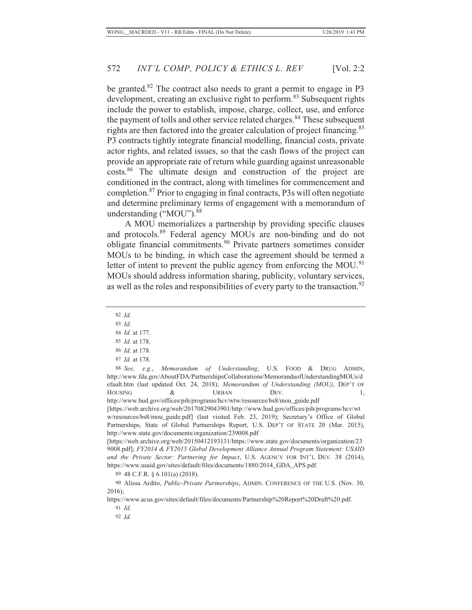be granted. $82$  The contract also needs to grant a permit to engage in P3 development, creating an exclusive right to perform.<sup>83</sup> Subsequent rights include the power to establish, impose, charge, collect, use, and enforce the payment of tolls and other service related charges.<sup>84</sup> These subsequent rights are then factored into the greater calculation of project financing.<sup>85</sup> P3 contracts tightly integrate financial modelling, financial costs, private actor rights, and related issues, so that the cash flows of the project can provide an appropriate rate of return while guarding against unreasonable costs.86 The ultimate design and construction of the project are conditioned in the contract, along with timelines for commencement and completion.87 Prior to engaging in final contracts, P3s will often negotiate and determine preliminary terms of engagement with a memorandum of understanding  $\left($ "MOU" $\right)$ .<sup>88</sup>

A MOU memorializes a partnership by providing specific clauses and protocols.89 Federal agency MOUs are non-binding and do not obligate financial commitments.90 Private partners sometimes consider MOUs to be binding, in which case the agreement should be termed a letter of intent to prevent the public agency from enforcing the MOU.<sup>91</sup> MOUs should address information sharing, publicity, voluntary services, as well as the roles and responsibilities of every party to the transaction.<sup>92</sup>

- 82 *Id.*
- 83 *Id.*
- 84 *Id.* at 177.
- 85 *Id.* at 178.
- 86 *Id.* at 178.
- 87 *Id.* at 178.

88 *See, e.g.*, *Memorandum of Understanding*, U.S. FOOD & DRUG ADMIN, http://www.fda.gov/AboutFDA/PartnershipsCollaborations/MemorandaofUnderstandingMOUs/d efault.htm (last updated Oct. 24, 2018); *Memorandum of Understanding (MOU)*, DEP'T OF HOUSING  $\&$  URBAN DEV. 1, http://www.hud.gov/offices/pih/programs/hcv/wtw/resources/bs8/mou\_guide.pdf

[https://web.archive.org/web/20170829043901/http://www.hud.gov/offices/pih/programs/hcv/wt w/resources/bs8/mou\_guide.pdf] (last visited Feb. 23, 2019); Secretary's Office of Global Partnerships, State of Global Partnerships Report, U.S. DEP'T OF STATE 20 (Mar. 2015), http://www.state.gov/documents/organization/239008.pdf

[https://web.archive.org/web/20150412193131/https://www.state.gov/documents/organization/23 9008.pdf]; *FY2014 & FY2015 Global Development Alliance Annual Program Statement: USAID and the Private Sector: Partnering for Impact*, U.S. AGENCY FOR INT'L DEV. 38 (2014), https://www.usaid.gov/sites/default/files/documents/1880/2014\_GDA\_APS.pdf.

89 48 C.F.R. § 6.101(a) (2018).

https://www.acus.gov/sites/default/files/documents/Partnership%20Report%20Draft%20.pdf.

91 *Id.*

92 *Id.*

<sup>90</sup> Alissa Ardito, *Public-Private Partnerships*, ADMIN. CONFERENCE OF THE U.S. (Nov. 30, 2016),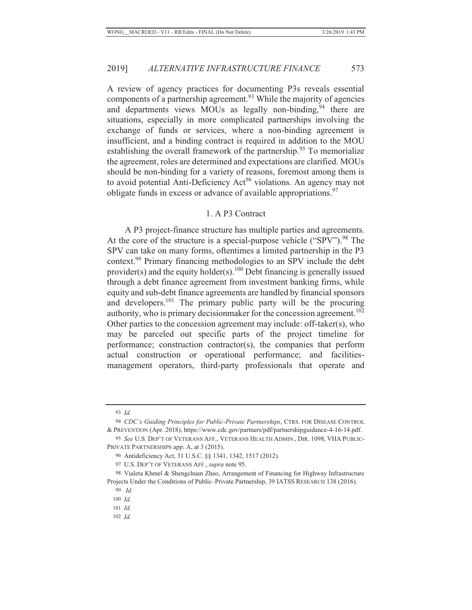A review of agency practices for documenting P3s reveals essential components of a partnership agreement.<sup>93</sup> While the majority of agencies and departments views MOUs as legally non-binding,<sup>94</sup> there are situations, especially in more complicated partnerships involving the exchange of funds or services, where a non-binding agreement is insufficient, and a binding contract is required in addition to the MOU establishing the overall framework of the partnership.<sup>95</sup> To memorialize the agreement, roles are determined and expectations are clarified. MOUs should be non-binding for a variety of reasons, foremost among them is to avoid potential Anti-Deficiency Act<sup>96</sup> violations. An agency may not obligate funds in excess or advance of available appropriations.  $97$ 

#### 1. A P3 Contract

A P3 project-finance structure has multiple parties and agreements. At the core of the structure is a special-purpose vehicle (" $SPV$ ").<sup>98</sup> The SPV can take on many forms, oftentimes a limited partnership in the P3 context.99 Primary financing methodologies to an SPV include the debt provider(s) and the equity holder(s).<sup>100</sup> Debt financing is generally issued through a debt finance agreement from investment banking firms, while equity and sub-debt finance agreements are handled by financial sponsors and developers.101 The primary public party will be the procuring authority, who is primary decisionmaker for the concession agreement.<sup>102</sup> Other parties to the concession agreement may include: off-taker(s), who may be parceled out specific parts of the project timeline for performance; construction contractor(s), the companies that perform actual construction or operational performance; and facilitiesmanagement operators, third-party professionals that operate and

<sup>93</sup> *Id.*

<sup>94</sup> *CDC's Guiding Principles for Public-Private Partnerships*, CTRS. FOR DISEASE CONTROL & PREVENTION (Apr. 2018), https://www.cdc.gov/partners/pdf/partnershipguidance-4-16-14.pdf.

<sup>95</sup> *See* U.S. DEP'T OF VETERANS AFF., VETERANS HEALTH ADMIN., DIR. 1098, VHA PUBLIC-PRIVATE PARTNERSHIPS app. A, at 3 (2015).

<sup>96</sup> Antideficiency Act, 31 U.S.C. §§ 1341, 1342, 1517 (2012).

<sup>97</sup> U.S. DEP'T OF VETERANS AFF., *supra* note 95.

<sup>98</sup> Vialeta Khmel & Shengchuan Zhao, Arrangement of Financing for Highway Infrastructure Projects Under the Conditions of Public–Private Partnership, 39 IATSS RESEARCH 138 (2016).

<sup>99</sup> *Id.*

<sup>100</sup> *Id.*

<sup>101</sup> *Id.*

<sup>102</sup> *Id.*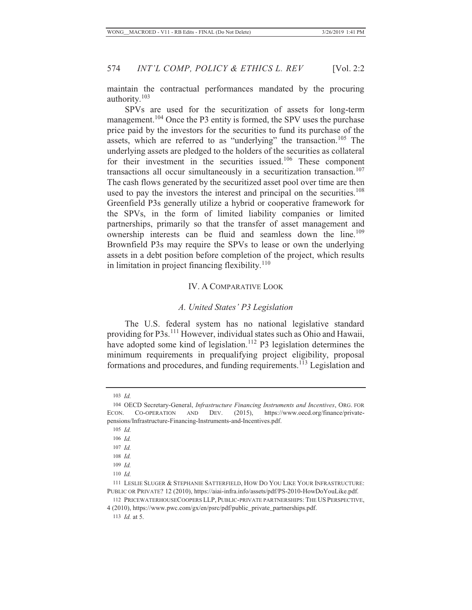maintain the contractual performances mandated by the procuring authority.103

SPVs are used for the securitization of assets for long-term management.<sup>104</sup> Once the P3 entity is formed, the SPV uses the purchase price paid by the investors for the securities to fund its purchase of the assets, which are referred to as "underlying" the transaction.<sup>105</sup> The underlying assets are pledged to the holders of the securities as collateral for their investment in the securities issued.<sup>106</sup> These component transactions all occur simultaneously in a securitization transaction.<sup>107</sup> The cash flows generated by the securitized asset pool over time are then used to pay the investors the interest and principal on the securities.<sup>108</sup> Greenfield P3s generally utilize a hybrid or cooperative framework for the SPVs, in the form of limited liability companies or limited partnerships, primarily so that the transfer of asset management and ownership interests can be fluid and seamless down the line.<sup>109</sup> Brownfield P3s may require the SPVs to lease or own the underlying assets in a debt position before completion of the project, which results in limitation in project financing flexibility. $110$ 

## IV. A COMPARATIVE LOOK

### *A. United States' P3 Legislation*

The U.S. federal system has no national legislative standard providing for P3s.111 However, individual states such as Ohio and Hawaii, have adopted some kind of legislation.<sup>112</sup> P3 legislation determines the minimum requirements in prequalifying project eligibility, proposal formations and procedures, and funding requirements.<sup>113</sup> Legislation and

4 (2010), https://www.pwc.com/gx/en/psrc/pdf/public\_private\_partnerships.pdf.

113 *Id.* at 5.

 <sup>103</sup> *Id.*

 <sup>104</sup> OECD Secretary-General, *Infrastructure Financing Instruments and Incentives*, ORG. FOR ECON. CO-OPERATION AND DEV. (2015), https://www.oecd.org/finance/privatepensions/Infrastructure-Financing-Instruments-and-Incentives.pdf.

 <sup>105</sup> *Id.*

 <sup>106</sup> *Id.*

 <sup>107</sup> *Id.*

 <sup>108</sup> *Id.*

 <sup>109</sup> *Id.*

 <sup>110</sup> *Id.*

<sup>111</sup> LESLIE SLUGER & STEPHANIE SATTERFIELD, HOW DO YOU LIKE YOUR INFRASTRUCTURE: PUBLIC OR PRIVATE? 12 (2010), https://aiai-infra.info/assets/pdf/PS-2010-HowDoYouLike.pdf.

<sup>112</sup> PRICEWATERHOUSECOOPERS LLP, PUBLIC-PRIVATE PARTNERSHIPS: THE US PERSPECTIVE,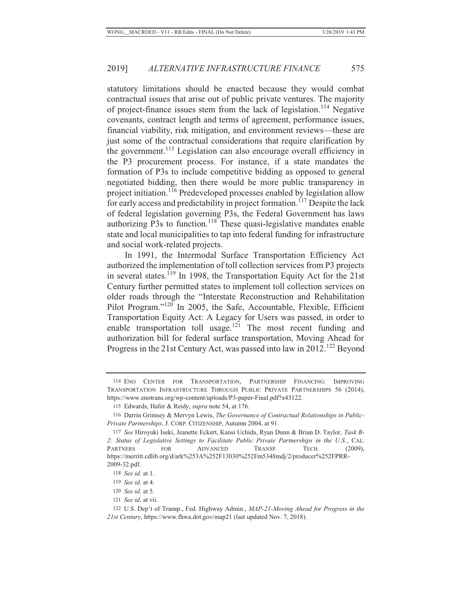statutory limitations should be enacted because they would combat contractual issues that arise out of public private ventures. The majority of project-finance issues stem from the lack of legislation.<sup>114</sup> Negative covenants, contract length and terms of agreement, performance issues, financial viability, risk mitigation, and environment reviews—these are just some of the contractual considerations that require clarification by the government.115 Legislation can also encourage overall efficiency in the P3 procurement process. For instance, if a state mandates the formation of P3s to include competitive bidding as opposed to general negotiated bidding, then there would be more public transparency in project initiation.116 Predeveloped processes enabled by legislation allow for early access and predictability in project formation.<sup>117</sup> Despite the lack of federal legislation governing P3s, the Federal Government has laws authorizing P3s to function.<sup>118</sup> These quasi-legislative mandates enable state and local municipalities to tap into federal funding for infrastructure and social work-related projects.

In 1991, the Intermodal Surface Transportation Efficiency Act authorized the implementation of toll collection services from P3 projects in several states.<sup> $119$ </sup> In 1998, the Transportation Equity Act for the 21st Century further permitted states to implement toll collection services on older roads through the "Interstate Reconstruction and Rehabilitation Pilot Program."<sup>120</sup> In 2005, the Safe, Accountable, Flexible, Efficient Transportation Equity Act: A Legacy for Users was passed, in order to enable transportation toll usage.<sup>121</sup> The most recent funding and authorization bill for federal surface transportation, Moving Ahead for Progress in the 21st Century Act, was passed into law in 2012.<sup>122</sup> Beyond

121 *See id.* at vii.

<sup>114</sup> ENO CENTER FOR TRANSPORTATION, PARTNERSHIP FINANCING: IMPROVING TRANSPORTATION INFRASTRUCTURE THROUGH PUBLIC PRIVATE PARTNERSHIPS 56 (2014), https://www.enotrans.org/wp-content/uploads/P3-paper-Final.pdf?x43122.

<sup>115</sup> Edwards, Hafer & Reidy, *supra* note 54, at 176.

<sup>116</sup> Darrin Grimsey & Mervyn Lewis, *The Governance of Contractual Relationships in Public-Private Partnerships*, J. CORP. CITIZENSHIP, Autumn 2004, at 91.

<sup>117</sup> *See* Hiroyuki Iseki, Jeanette Eckert, Kansi Uchida, Ryan Dunn & Brian D. Taylor, *Task B-2: Status of Legislative Settings to Facilitate Public Private Partnerships in the U.S.*, CAL. PARTNERS FOR ADVANCED TRANSP. TECH. (2009), https://merritt.cdlib.org/d/ark%253A%252F13030%252Fm5348mdj/2/producer%252FPRR-2009-32.pdf.

<sup>118</sup> *See id.* at 1.

<sup>119</sup> *See id.* at 4.

<sup>120</sup> *See id.* at 5.

<sup>122</sup> U.S. Dep't of Transp., Fed. Highway Admin., *MAP-21-Moving Ahead for Progress in the 21st Century*, https://www.fhwa.dot.gov/map21 (last updated Nov. 7, 2018).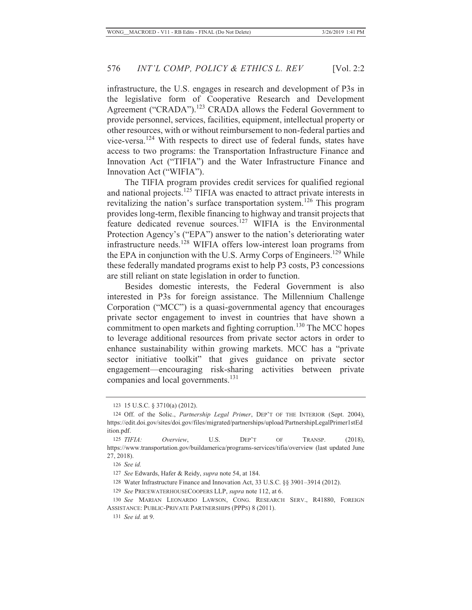infrastructure, the U.S. engages in research and development of P3s in the legislative form of Cooperative Research and Development Agreement ("CRADA").<sup>123</sup> CRADA allows the Federal Government to provide personnel, services, facilities, equipment, intellectual property or other resources, with or without reimbursement to non-federal parties and vice-versa.124 With respects to direct use of federal funds, states have access to two programs: the Transportation Infrastructure Finance and Innovation Act ("TIFIA") and the Water Infrastructure Finance and Innovation Act ("WIFIA").

The TIFIA program provides credit services for qualified regional and national projects.<sup>125</sup> TIFIA was enacted to attract private interests in revitalizing the nation's surface transportation system.126 This program provides long-term, flexible financing to highway and transit projects that feature dedicated revenue sources.127 WIFIA is the Environmental Protection Agency's ("EPA") answer to the nation's deteriorating water infrastructure needs.128 WIFIA offers low-interest loan programs from the EPA in conjunction with the U.S. Army Corps of Engineers.<sup>129</sup> While these federally mandated programs exist to help P3 costs, P3 concessions are still reliant on state legislation in order to function.

Besides domestic interests, the Federal Government is also interested in P3s for foreign assistance. The Millennium Challenge Corporation ("MCC") is a quasi-governmental agency that encourages private sector engagement to invest in countries that have shown a commitment to open markets and fighting corruption.<sup>130</sup> The MCC hopes to leverage additional resources from private sector actors in order to enhance sustainability within growing markets. MCC has a "private sector initiative toolkit" that gives guidance on private sector engagement—encouraging risk-sharing activities between private companies and local governments.<sup>131</sup>

- 128 Water Infrastructure Finance and Innovation Act, 33 U.S.C. §§ 3901–3914 (2012).
- 129 *See* PRICEWATERHOUSECOOPERS LLP, *supra* note 112, at 6.
- 130 *See* MARIAN LEONARDO LAWSON, CONG. RESEARCH SERV., R41880, FOREIGN ASSISTANCE: PUBLIC-PRIVATE PARTNERSHIPS (PPPS) 8 (2011).

<sup>123 15</sup> U.S.C. § 3710(a) (2012).

<sup>124</sup> Off. of the Solic., *Partnership Legal Primer*, DEP'T OF THE INTERIOR (Sept. 2004), https://edit.doi.gov/sites/doi.gov/files/migrated/partnerships/upload/PartnershipLegalPrimer1stEd ition.pdf.

<sup>125</sup> *TIFIA: Overview*, U.S. DEP'T OF TRANSP. (2018), https://www.transportation.gov/buildamerica/programs-services/tifia/overview (last updated June 27, 2018).

<sup>126</sup> *See id.*

<sup>127</sup> *See* Edwards, Hafer & Reidy, *supra* note 54, at 184.

 <sup>131</sup> *See id.* at 9.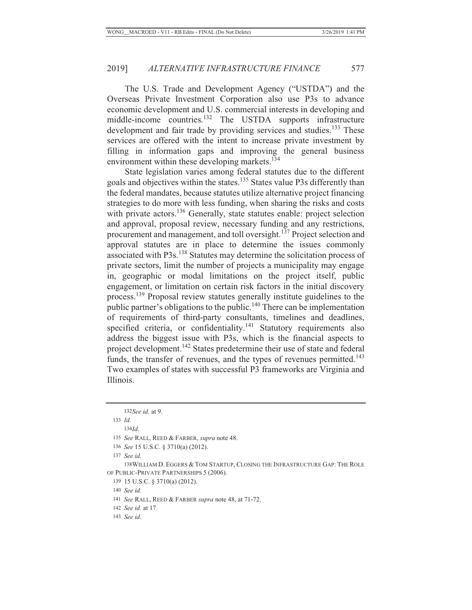The U.S. Trade and Development Agency ("USTDA") and the Overseas Private Investment Corporation also use P3s to advance economic development and U.S. commercial interests in developing and middle-income countries.<sup>132</sup> The USTDA supports infrastructure development and fair trade by providing services and studies.<sup>133</sup> These services are offered with the intent to increase private investment by filling in information gaps and improving the general business environment within these developing markets.<sup>134</sup>

State legislation varies among federal statutes due to the different goals and objectives within the states.135 States value P3s differently than the federal mandates, because statutes utilize alternative project financing strategies to do more with less funding, when sharing the risks and costs with private actors.<sup>136</sup> Generally, state statutes enable: project selection and approval, proposal review, necessary funding and any restrictions, procurement and management, and toll oversight.<sup>137</sup> Project selection and approval statutes are in place to determine the issues commonly associated with P3s.138 Statutes may determine the solicitation process of private sectors, limit the number of projects a municipality may engage in, geographic or modal limitations on the project itself, public engagement, or limitation on certain risk factors in the initial discovery process.139 Proposal review statutes generally institute guidelines to the public partner's obligations to the public.<sup>140</sup> There can be implementation of requirements of third-party consultants, timelines and deadlines, specified criteria, or confidentiality. $141$  Statutory requirements also address the biggest issue with P3s, which is the financial aspects to project development.<sup>142</sup> States predetermine their use of state and federal funds, the transfer of revenues, and the types of revenues permitted.<sup>143</sup> Two examples of states with successful P3 frameworks are Virginia and Illinois.

133 *Id.*

134*Id.*

135 *See* RALL, REED & FARBER, *supra* note 48.

136 *See* 15 U.S.C. § 3710(a) (2012).

137 *See id.*

 138 WILLIAM D. EGGERS & TOM STARTUP, CLOSING THE INFRASTRUCTURE GAP: THE ROLE OF PUBLIC-PRIVATE PARTNERSHIPS 5 (2006).

139 15 U.S.C. § 3710(a) (2012).

140 *See id.*

141 *See* RALL, REED & FARBER *supra* note 48, at 71-72.

142 *See id.* at 17.

143 *See id.*

132 *See id.* at 9.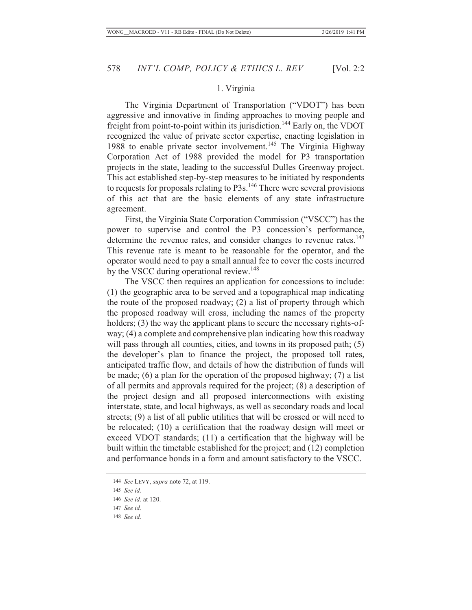#### 1. Virginia

The Virginia Department of Transportation ("VDOT") has been aggressive and innovative in finding approaches to moving people and freight from point-to-point within its jurisdiction.<sup>144</sup> Early on, the VDOT recognized the value of private sector expertise, enacting legislation in 1988 to enable private sector involvement.<sup>145</sup> The Virginia Highway Corporation Act of 1988 provided the model for P3 transportation projects in the state, leading to the successful Dulles Greenway project. This act established step-by-step measures to be initiated by respondents to requests for proposals relating to P3s.<sup>146</sup> There were several provisions of this act that are the basic elements of any state infrastructure agreement.

First, the Virginia State Corporation Commission ("VSCC") has the power to supervise and control the P3 concession's performance, determine the revenue rates, and consider changes to revenue rates.<sup>147</sup> This revenue rate is meant to be reasonable for the operator, and the operator would need to pay a small annual fee to cover the costs incurred by the VSCC during operational review.<sup>148</sup>

The VSCC then requires an application for concessions to include: (1) the geographic area to be served and a topographical map indicating the route of the proposed roadway; (2) a list of property through which the proposed roadway will cross, including the names of the property holders; (3) the way the applicant plans to secure the necessary rights-ofway; (4) a complete and comprehensive plan indicating how this roadway will pass through all counties, cities, and towns in its proposed path; (5) the developer's plan to finance the project, the proposed toll rates, anticipated traffic flow, and details of how the distribution of funds will be made; (6) a plan for the operation of the proposed highway; (7) a list of all permits and approvals required for the project; (8) a description of the project design and all proposed interconnections with existing interstate, state, and local highways, as well as secondary roads and local streets; (9) a list of all public utilities that will be crossed or will need to be relocated; (10) a certification that the roadway design will meet or exceed VDOT standards; (11) a certification that the highway will be built within the timetable established for the project; and (12) completion and performance bonds in a form and amount satisfactory to the VSCC.

148 *See id.*

<sup>144</sup> *See* LEVY, *supra* note 72, at 119.

<sup>145</sup> *See id.*

<sup>146</sup> *See id.* at 120.

<sup>147</sup> *See id.*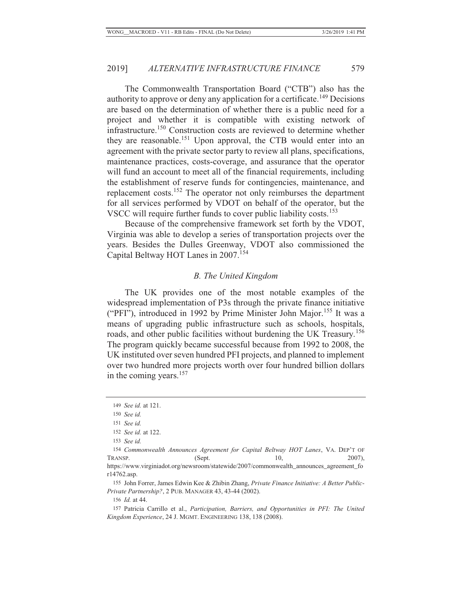The Commonwealth Transportation Board ("CTB") also has the authority to approve or deny any application for a certificate.<sup>149</sup> Decisions are based on the determination of whether there is a public need for a project and whether it is compatible with existing network of infrastructure.150 Construction costs are reviewed to determine whether they are reasonable.<sup>151</sup> Upon approval, the CTB would enter into an agreement with the private sector party to review all plans, specifications, maintenance practices, costs-coverage, and assurance that the operator will fund an account to meet all of the financial requirements, including the establishment of reserve funds for contingencies, maintenance, and replacement costs.152 The operator not only reimburses the department for all services performed by VDOT on behalf of the operator, but the VSCC will require further funds to cover public liability costs.<sup>153</sup>

Because of the comprehensive framework set forth by the VDOT, Virginia was able to develop a series of transportation projects over the years. Besides the Dulles Greenway, VDOT also commissioned the Capital Beltway HOT Lanes in 2007.<sup>154</sup>

#### *B. The United Kingdom*

The UK provides one of the most notable examples of the widespread implementation of P3s through the private finance initiative ("PFI"), introduced in 1992 by Prime Minister John Major.<sup>155</sup> It was a means of upgrading public infrastructure such as schools, hospitals, roads, and other public facilities without burdening the UK Treasury.<sup>156</sup> The program quickly became successful because from 1992 to 2008, the UK instituted over seven hundred PFI projects, and planned to implement over two hundred more projects worth over four hundred billion dollars in the coming years.<sup>157</sup>

 <sup>149</sup> *See id.* at 121.

 <sup>150</sup> *See id.*

 <sup>151</sup> *See id.*

 <sup>152</sup> *See id.* at 122.

 <sup>153</sup> *See id.*

<sup>154</sup> *Commonwealth Announces Agreement for Capital Beltway HOT Lanes*, VA. DEP'T OF TRANSP.  $(Sept. 10, 2007)$ , https://www.virginiadot.org/newsroom/statewide/2007/commonwealth\_announces\_agreement\_fo r14762.asp.

<sup>155</sup> John Forrer, James Edwin Kee & Zhibin Zhang, *Private Finance Initiative: A Better Public-Private Partnership?*, 2 PUB. MANAGER 43, 43-44 (2002).

<sup>156</sup> *Id.* at 44.

<sup>157</sup> Patricia Carrillo et al., *Participation, Barriers, and Opportunities in PFI: The United Kingdom Experience*, 24 J. MGMT. ENGINEERING 138, 138 (2008).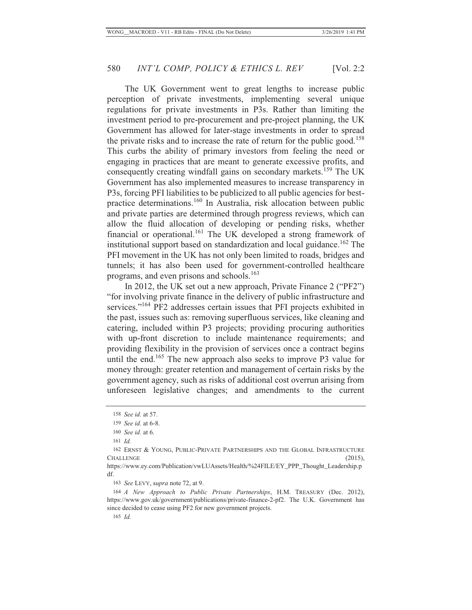The UK Government went to great lengths to increase public perception of private investments, implementing several unique regulations for private investments in P3s. Rather than limiting the investment period to pre-procurement and pre-project planning, the UK Government has allowed for later-stage investments in order to spread the private risks and to increase the rate of return for the public good.<sup>158</sup> This curbs the ability of primary investors from feeling the need or engaging in practices that are meant to generate excessive profits, and consequently creating windfall gains on secondary markets.<sup>159</sup> The UK Government has also implemented measures to increase transparency in P3s, forcing PFI liabilities to be publicized to all public agencies for bestpractice determinations.160 In Australia, risk allocation between public and private parties are determined through progress reviews, which can allow the fluid allocation of developing or pending risks, whether financial or operational.<sup>161</sup> The UK developed a strong framework of institutional support based on standardization and local guidance.<sup>162</sup> The PFI movement in the UK has not only been limited to roads, bridges and tunnels; it has also been used for government-controlled healthcare programs, and even prisons and schools.<sup>163</sup>

In 2012, the UK set out a new approach, Private Finance 2 ("PF2") "for involving private finance in the delivery of public infrastructure and services."<sup>164</sup> PF2 addresses certain issues that PFI projects exhibited in the past, issues such as: removing superfluous services, like cleaning and catering, included within P3 projects; providing procuring authorities with up-front discretion to include maintenance requirements; and providing flexibility in the provision of services once a contract begins until the end.<sup>165</sup> The new approach also seeks to improve P3 value for money through: greater retention and management of certain risks by the government agency, such as risks of additional cost overrun arising from unforeseen legislative changes; and amendments to the current

<sup>158</sup> *See id.* at 57.

<sup>159</sup> *See id.* at 6-8.

<sup>160</sup> *See id.* at 6.

<sup>161</sup> *Id.*

<sup>162</sup> ERNST & YOUNG, PUBLIC-PRIVATE PARTNERSHIPS AND THE GLOBAL INFRASTRUCTURE CHALLENGE (2015),

https://www.ey.com/Publication/vwLUAssets/Health/%24FILE/EY\_PPP\_Thought\_Leadership.p df.

<sup>163</sup> *See* LEVY, s*upra* note 72, at 9.

<sup>164</sup> *A New Approach to Public Private Partnerships*, H.M. TREASURY (Dec. 2012), https://www.gov.uk/government/publications/private-finance-2-pf2. The U.K. Government has since decided to cease using PF2 for new government projects.

<sup>165</sup> *Id.*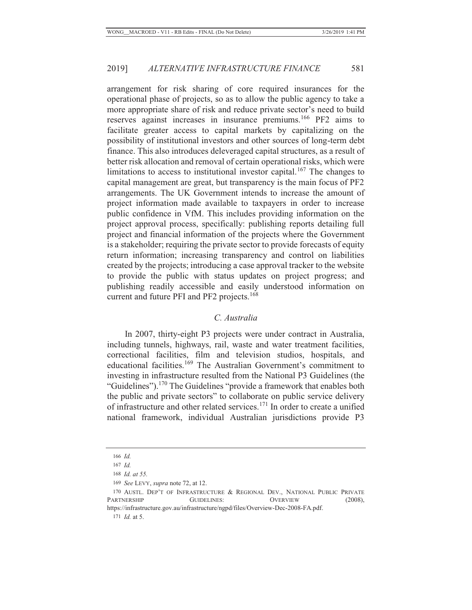arrangement for risk sharing of core required insurances for the operational phase of projects, so as to allow the public agency to take a more appropriate share of risk and reduce private sector's need to build reserves against increases in insurance premiums.166 PF2 aims to facilitate greater access to capital markets by capitalizing on the possibility of institutional investors and other sources of long-term debt finance. This also introduces deleveraged capital structures, as a result of better risk allocation and removal of certain operational risks, which were limitations to access to institutional investor capital.<sup>167</sup> The changes to capital management are great, but transparency is the main focus of PF2 arrangements. The UK Government intends to increase the amount of project information made available to taxpayers in order to increase public confidence in VfM. This includes providing information on the project approval process, specifically: publishing reports detailing full project and financial information of the projects where the Government is a stakeholder; requiring the private sector to provide forecasts of equity return information; increasing transparency and control on liabilities created by the projects; introducing a case approval tracker to the website to provide the public with status updates on project progress; and publishing readily accessible and easily understood information on current and future PFI and PF2 projects.<sup>168</sup>

### *C. Australia*

In 2007, thirty-eight P3 projects were under contract in Australia, including tunnels, highways, rail, waste and water treatment facilities, correctional facilities, film and television studios, hospitals, and educational facilities.<sup>169</sup> The Australian Government's commitment to investing in infrastructure resulted from the National P3 Guidelines (the "Guidelines").<sup>170</sup> The Guidelines "provide a framework that enables both the public and private sectors" to collaborate on public service delivery of infrastructure and other related services.171 In order to create a unified national framework, individual Australian jurisdictions provide P3

https://infrastructure.gov.au/infrastructure/ngpd/files/Overview-Dec-2008-FA.pdf.

171 *Id.* at 5.

 <sup>166</sup> *Id.*

 <sup>167</sup> *Id.*

 <sup>168</sup> *Id. at 55.*

<sup>169</sup> *See* LEVY, *supra* note 72, at 12.

<sup>170</sup> AUSTL. DEP'T OF INFRASTRUCTURE & REGIONAL DEV., NATIONAL PUBLIC PRIVATE PARTNERSHIP GUIDELINES: OVERVIEW (2008),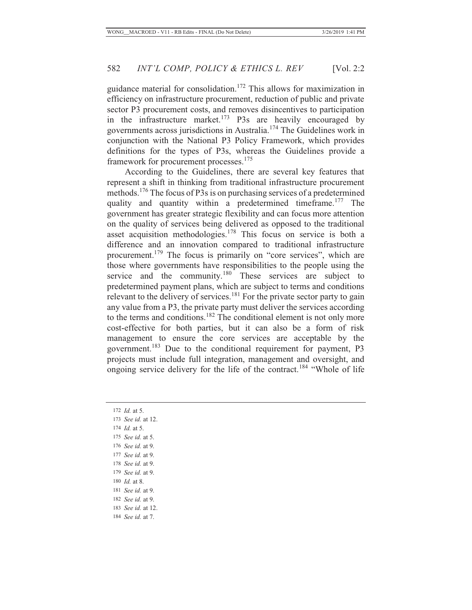guidance material for consolidation.172 This allows for maximization in efficiency on infrastructure procurement, reduction of public and private sector P3 procurement costs, and removes disincentives to participation in the infrastructure market.<sup>173</sup> P3s are heavily encouraged by governments across jurisdictions in Australia.174 The Guidelines work in conjunction with the National P3 Policy Framework, which provides definitions for the types of P3s, whereas the Guidelines provide a framework for procurement processes.<sup>175</sup>

According to the Guidelines, there are several key features that represent a shift in thinking from traditional infrastructure procurement methods.176 The focus of P3s is on purchasing services of a predetermined quality and quantity within a predetermined timeframe.<sup>177</sup> The government has greater strategic flexibility and can focus more attention on the quality of services being delivered as opposed to the traditional asset acquisition methodologies.<sup>178</sup> This focus on service is both a difference and an innovation compared to traditional infrastructure procurement.<sup>179</sup> The focus is primarily on "core services", which are those where governments have responsibilities to the people using the service and the community.<sup>180</sup> These services are subject to predetermined payment plans, which are subject to terms and conditions relevant to the delivery of services.<sup>181</sup> For the private sector party to gain any value from a P3, the private party must deliver the services according to the terms and conditions.<sup>182</sup> The conditional element is not only more cost-effective for both parties, but it can also be a form of risk management to ensure the core services are acceptable by the government.183 Due to the conditional requirement for payment, P3 projects must include full integration, management and oversight, and ongoing service delivery for the life of the contract.<sup>184</sup> "Whole of life"

- 172 *Id.* at 5. 173 *See id.* at 12. 174 *Id.* at 5. 175 *See id.* at 5. 176 *See id.* at 9. 177 *See id.* at 9. 178 *See id.* at 9. 179 *See id.* at 9. 180 *Id.* at 8. 181 *See id.* at 9. 182 *See id.* at 9. 183 *See id.* at 12.
- 184 *See id.* at 7.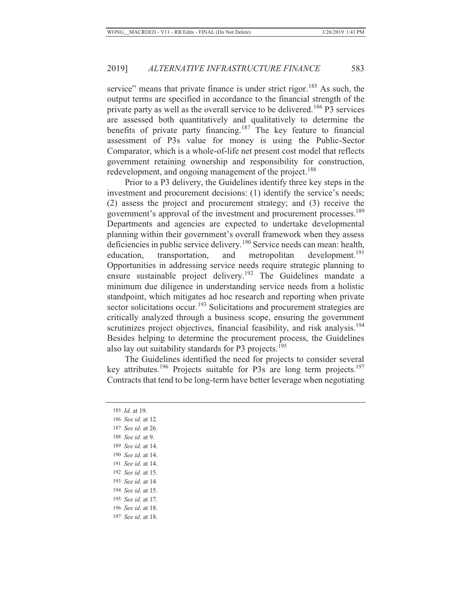service" means that private finance is under strict rigor.<sup>185</sup> As such, the output terms are specified in accordance to the financial strength of the private party as well as the overall service to be delivered.<sup>186</sup> P3 services are assessed both quantitatively and qualitatively to determine the benefits of private party financing.<sup>187</sup> The key feature to financial assessment of P3s value for money is using the Public-Sector Comparator, which is a whole-of-life net present cost model that reflects government retaining ownership and responsibility for construction, redevelopment, and ongoing management of the project.<sup>188</sup>

Prior to a P3 delivery, the Guidelines identify three key steps in the investment and procurement decisions: (1) identify the service's needs; (2) assess the project and procurement strategy; and (3) receive the government's approval of the investment and procurement processes.<sup>189</sup> Departments and agencies are expected to undertake developmental planning within their government's overall framework when they assess deficiencies in public service delivery.<sup>190</sup> Service needs can mean: health, education, transportation, and metropolitan development.<sup>191</sup> Opportunities in addressing service needs require strategic planning to ensure sustainable project delivery.192 The Guidelines mandate a minimum due diligence in understanding service needs from a holistic standpoint, which mitigates ad hoc research and reporting when private sector solicitations occur.<sup>193</sup> Solicitations and procurement strategies are critically analyzed through a business scope, ensuring the government scrutinizes project objectives, financial feasibility, and risk analysis.<sup>194</sup> Besides helping to determine the procurement process, the Guidelines also lay out suitability standards for P3 projects.<sup>195</sup>

The Guidelines identified the need for projects to consider several key attributes.<sup>196</sup> Projects suitable for P3s are long term projects.<sup>197</sup> Contracts that tend to be long-term have better leverage when negotiating

 *Id.* at 19. *See id.* at 12. *See id.* at 26. *See id.* at 9. *See id.* at 14. *See id.* at 14. *See id.* at 14. *See id.* at 15. *See id.* at 14. *See id.* at 15. *See id.* at 17. *See id.* at 18. *See id.* at 18.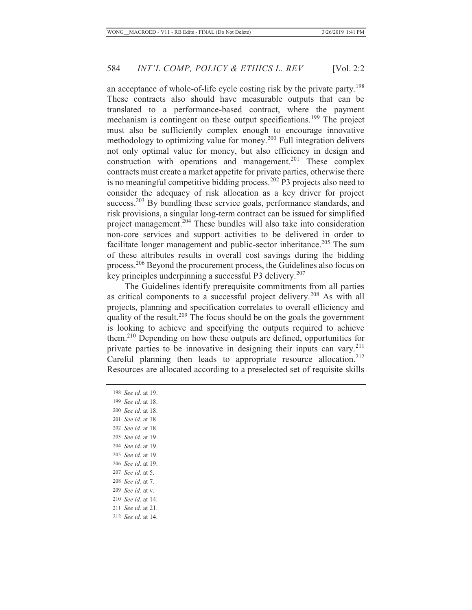an acceptance of whole-of-life cycle costing risk by the private party.<sup>198</sup> These contracts also should have measurable outputs that can be translated to a performance-based contract, where the payment mechanism is contingent on these output specifications.199 The project must also be sufficiently complex enough to encourage innovative methodology to optimizing value for money.200 Full integration delivers not only optimal value for money, but also efficiency in design and construction with operations and management. $201$  These complex contracts must create a market appetite for private parties, otherwise there is no meaningful competitive bidding process.<sup>202</sup> P3 projects also need to consider the adequacy of risk allocation as a key driver for project success.<sup>203</sup> By bundling these service goals, performance standards, and risk provisions, a singular long-term contract can be issued for simplified project management.204 These bundles will also take into consideration non-core services and support activities to be delivered in order to facilitate longer management and public-sector inheritance.<sup>205</sup> The sum of these attributes results in overall cost savings during the bidding process.206 Beyond the procurement process, the Guidelines also focus on key principles underpinning a successful P3 delivery.<sup>207</sup>

The Guidelines identify prerequisite commitments from all parties as critical components to a successful project delivery.208 As with all projects, planning and specification correlates to overall efficiency and quality of the result.<sup>209</sup> The focus should be on the goals the government is looking to achieve and specifying the outputs required to achieve them.210 Depending on how these outputs are defined, opportunities for private parties to be innovative in designing their inputs can vary.<sup>211</sup> Careful planning then leads to appropriate resource allocation.<sup>212</sup> Resources are allocated according to a preselected set of requisite skills

 *See id.* at 19. *See id.* at 18. *See id.* at 18. *See id.* at 18. *See id.* at 18. *See id.* at 19. *See id.* at 19. *See id.* at 19. *See id.* at 19. *See id.* at 5. *See id.* at 7. *See id.* at v. *See id.* at 14. *See id.* at 21. *See id.* at 14.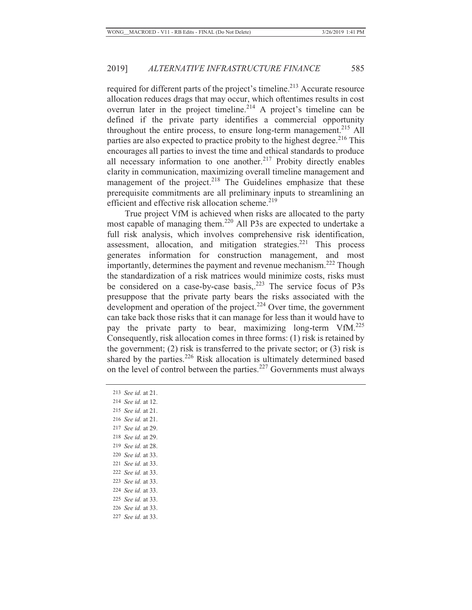required for different parts of the project's timeline.<sup>213</sup> Accurate resource allocation reduces drags that may occur, which oftentimes results in cost overrun later in the project timeline.<sup>214</sup> A project's timeline can be defined if the private party identifies a commercial opportunity throughout the entire process, to ensure long-term management.<sup>215</sup> All parties are also expected to practice probity to the highest degree.<sup>216</sup> This encourages all parties to invest the time and ethical standards to produce all necessary information to one another.<sup>217</sup> Probity directly enables clarity in communication, maximizing overall timeline management and management of the project.<sup>218</sup> The Guidelines emphasize that these prerequisite commitments are all preliminary inputs to streamlining an efficient and effective risk allocation scheme.<sup>219</sup>

True project VfM is achieved when risks are allocated to the party most capable of managing them.<sup>220</sup> All P3s are expected to undertake a full risk analysis, which involves comprehensive risk identification, assessment, allocation, and mitigation strategies.<sup>221</sup> This process generates information for construction management, and most importantly, determines the payment and revenue mechanism.<sup>222</sup> Though the standardization of a risk matrices would minimize costs, risks must be considered on a case-by-case basis,.<sup>223</sup> The service focus of P3s presuppose that the private party bears the risks associated with the development and operation of the project.<sup>224</sup> Over time, the government can take back those risks that it can manage for less than it would have to pay the private party to bear, maximizing long-term VfM.<sup>225</sup> Consequently, risk allocation comes in three forms: (1) risk is retained by the government; (2) risk is transferred to the private sector; or (3) risk is shared by the parties. $226$  Risk allocation is ultimately determined based on the level of control between the parties.<sup>227</sup> Governments must always

- 213 *See id.* at 21.
- 214 *See id.* at 12.
- 215 *See id.* at 21.
- 216 *See id.* at 21.
- 217 *See id.* at 29.
- 218 *See id.* at 29.
- 219 *See id.* at 28.
- 220 *See id.* at 33.
- 221 *See id.* at 33.
- 222 *See id.* at 33.
- 223 *See id.* at 33.
- 224 *See id.* at 33.
- 225 *See id.* at 33.
- 226 *See id.* at 33.
- 227 *See id.* at 33.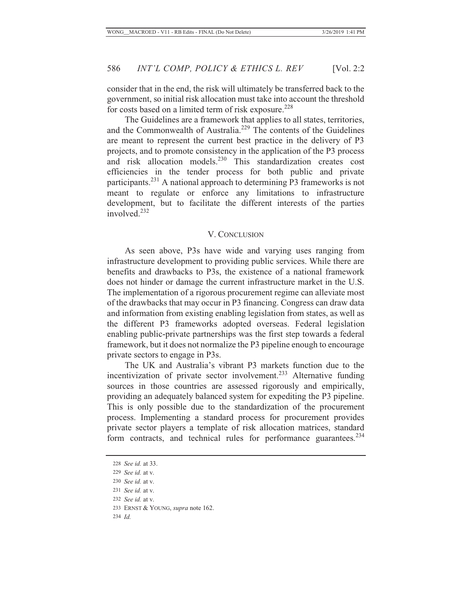consider that in the end, the risk will ultimately be transferred back to the government, so initial risk allocation must take into account the threshold for costs based on a limited term of risk exposure.<sup>228</sup>

The Guidelines are a framework that applies to all states, territories, and the Commonwealth of Australia.<sup>229</sup> The contents of the Guidelines are meant to represent the current best practice in the delivery of P3 projects, and to promote consistency in the application of the P3 process and risk allocation models.<sup>230</sup> This standardization creates cost efficiencies in the tender process for both public and private participants.231 A national approach to determining P3 frameworks is not meant to regulate or enforce any limitations to infrastructure development, but to facilitate the different interests of the parties involved.<sup>232</sup>

#### V. CONCLUSION

As seen above, P3s have wide and varying uses ranging from infrastructure development to providing public services. While there are benefits and drawbacks to P3s, the existence of a national framework does not hinder or damage the current infrastructure market in the U.S. The implementation of a rigorous procurement regime can alleviate most of the drawbacks that may occur in P3 financing. Congress can draw data and information from existing enabling legislation from states, as well as the different P3 frameworks adopted overseas. Federal legislation enabling public-private partnerships was the first step towards a federal framework, but it does not normalize the P3 pipeline enough to encourage private sectors to engage in P3s.

The UK and Australia's vibrant P3 markets function due to the incentivization of private sector involvement.<sup>233</sup> Alternative funding sources in those countries are assessed rigorously and empirically, providing an adequately balanced system for expediting the P3 pipeline. This is only possible due to the standardization of the procurement process. Implementing a standard process for procurement provides private sector players a template of risk allocation matrices, standard form contracts, and technical rules for performance guarantees.<sup>234</sup>

232 *See id.* at v.

234 *Id.*

 <sup>228</sup> *See id.* at 33.

 <sup>229</sup> *See id.* at v.

 <sup>230</sup> *See id.* at v.

 <sup>231</sup> *See id.* at v.

<sup>233</sup> ERNST & YOUNG, *supra* note 162.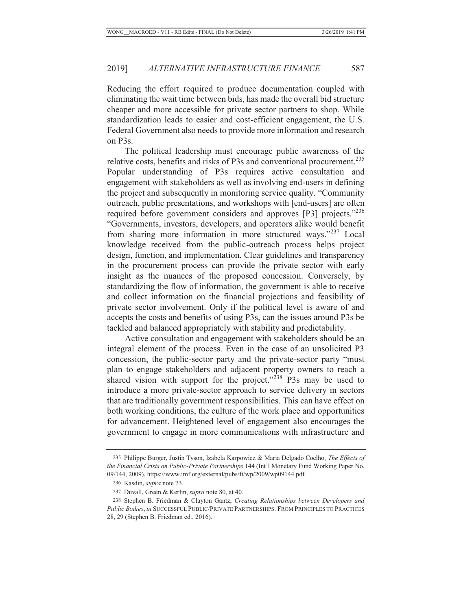Reducing the effort required to produce documentation coupled with eliminating the wait time between bids, has made the overall bid structure cheaper and more accessible for private sector partners to shop. While standardization leads to easier and cost-efficient engagement, the U.S. Federal Government also needs to provide more information and research on P3s.

The political leadership must encourage public awareness of the relative costs, benefits and risks of P3s and conventional procurement.<sup>235</sup> Popular understanding of P3s requires active consultation and engagement with stakeholders as well as involving end-users in defining the project and subsequently in monitoring service quality. "Community outreach, public presentations, and workshops with [end-users] are often required before government considers and approves [P3] projects."<sup>236</sup> "Governments, investors, developers, and operators alike would benefit from sharing more information in more structured ways."237 Local knowledge received from the public-outreach process helps project design, function, and implementation. Clear guidelines and transparency in the procurement process can provide the private sector with early insight as the nuances of the proposed concession. Conversely, by standardizing the flow of information, the government is able to receive and collect information on the financial projections and feasibility of private sector involvement. Only if the political level is aware of and accepts the costs and benefits of using P3s, can the issues around P3s be tackled and balanced appropriately with stability and predictability.

Active consultation and engagement with stakeholders should be an integral element of the process. Even in the case of an unsolicited P3 concession, the public-sector party and the private-sector party "must plan to engage stakeholders and adjacent property owners to reach a shared vision with support for the project."<sup>238</sup> P3s may be used to introduce a more private-sector approach to service delivery in sectors that are traditionally government responsibilities. This can have effect on both working conditions, the culture of the work place and opportunities for advancement. Heightened level of engagement also encourages the government to engage in more communications with infrastructure and

<sup>235</sup> Philippe Burger, Justin Tyson, Izabela Karpowicz & Maria Delgado Coelho, *The Effects of the Financial Crisis on Public-Private Partnerships* 144 (Int'l Monetary Fund Working Paper No. 09/144, 2009), https://www.imf.org/external/pubs/ft/wp/2009/wp09144.pdf.

<sup>236</sup> Kasdin, *supra* note 73.

<sup>237</sup> Duvall, Green & Kerlin, *supra* note 80, at 40.

<sup>238</sup> Stephen B. Friedman & Clayton Gantz, *Creating Relationships between Developers and Public Bodies*, *in* SUCCESSFUL PUBLIC/PRIVATE PARTNERSHIPS: FROM PRINCIPLES TO PRACTICES 28, 29 (Stephen B. Friedman ed., 2016).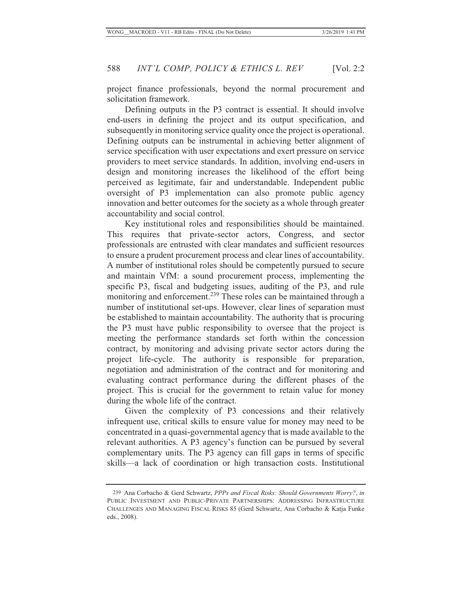project finance professionals, beyond the normal procurement and solicitation framework.

Defining outputs in the P3 contract is essential. It should involve end-users in defining the project and its output specification, and subsequently in monitoring service quality once the project is operational. Defining outputs can be instrumental in achieving better alignment of service specification with user expectations and exert pressure on service providers to meet service standards. In addition, involving end-users in design and monitoring increases the likelihood of the effort being perceived as legitimate, fair and understandable. Independent public oversight of P3 implementation can also promote public agency innovation and better outcomes for the society as a whole through greater accountability and social control.

Key institutional roles and responsibilities should be maintained. This requires that private-sector actors, Congress, and sector professionals are entrusted with clear mandates and sufficient resources to ensure a prudent procurement process and clear lines of accountability. A number of institutional roles should be competently pursued to secure and maintain VfM: a sound procurement process, implementing the specific P3, fiscal and budgeting issues, auditing of the P3, and rule monitoring and enforcement.<sup>239</sup> These roles can be maintained through a number of institutional set-ups. However, clear lines of separation must be established to maintain accountability. The authority that is procuring the P3 must have public responsibility to oversee that the project is meeting the performance standards set forth within the concession contract, by monitoring and advising private sector actors during the project life-cycle. The authority is responsible for preparation, negotiation and administration of the contract and for monitoring and evaluating contract performance during the different phases of the project. This is crucial for the government to retain value for money during the whole life of the contract.

Given the complexity of P3 concessions and their relatively infrequent use, critical skills to ensure value for money may need to be concentrated in a quasi-governmental agency that is made available to the relevant authorities. A P3 agency's function can be pursued by several complementary units. The P3 agency can fill gaps in terms of specific skills—a lack of coordination or high transaction costs. Institutional

<sup>239</sup> Ana Corbacho & Gerd Schwartz, *PPPs and Fiscal Risks: Should Governments Worry?*, *in* PUBLIC INVESTMENT AND PUBLIC-PRIVATE PARTNERSHIPS: ADDRESSING INFRASTRUCTURE CHALLENGES AND MANAGING FISCAL RISKS 85 (Gerd Schwartz, Ana Corbacho & Katja Funke eds., 2008).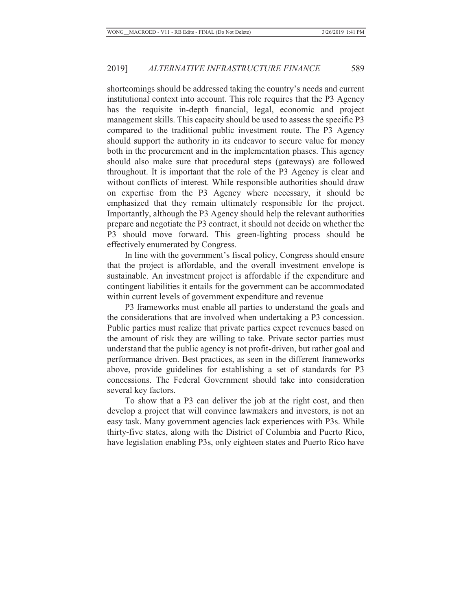shortcomings should be addressed taking the country's needs and current institutional context into account. This role requires that the P3 Agency has the requisite in-depth financial, legal, economic and project management skills. This capacity should be used to assess the specific P3 compared to the traditional public investment route. The P3 Agency should support the authority in its endeavor to secure value for money both in the procurement and in the implementation phases. This agency should also make sure that procedural steps (gateways) are followed throughout. It is important that the role of the P3 Agency is clear and without conflicts of interest. While responsible authorities should draw on expertise from the P3 Agency where necessary, it should be emphasized that they remain ultimately responsible for the project. Importantly, although the P3 Agency should help the relevant authorities prepare and negotiate the P3 contract, it should not decide on whether the P3 should move forward. This green-lighting process should be effectively enumerated by Congress.

In line with the government's fiscal policy, Congress should ensure that the project is affordable, and the overall investment envelope is sustainable. An investment project is affordable if the expenditure and contingent liabilities it entails for the government can be accommodated within current levels of government expenditure and revenue

P3 frameworks must enable all parties to understand the goals and the considerations that are involved when undertaking a P3 concession. Public parties must realize that private parties expect revenues based on the amount of risk they are willing to take. Private sector parties must understand that the public agency is not profit-driven, but rather goal and performance driven. Best practices, as seen in the different frameworks above, provide guidelines for establishing a set of standards for P3 concessions. The Federal Government should take into consideration several key factors.

To show that a P3 can deliver the job at the right cost, and then develop a project that will convince lawmakers and investors, is not an easy task. Many government agencies lack experiences with P3s. While thirty-five states, along with the District of Columbia and Puerto Rico, have legislation enabling P3s, only eighteen states and Puerto Rico have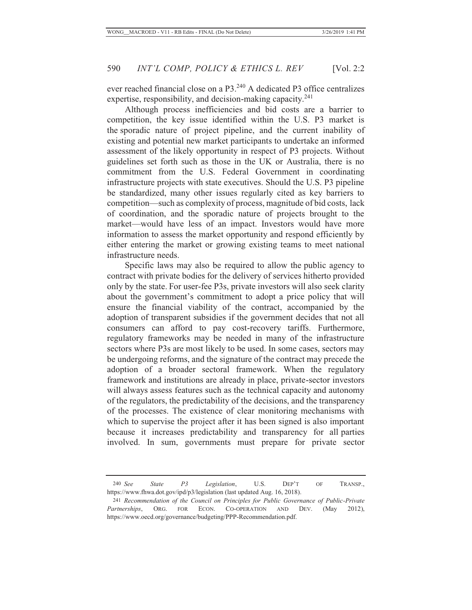ever reached financial close on a P3.240 A dedicated P3 office centralizes expertise, responsibility, and decision-making capacity.<sup>241</sup>

Although process inefficiencies and bid costs are a barrier to competition, the key issue identified within the U.S. P3 market is the sporadic nature of project pipeline, and the current inability of existing and potential new market participants to undertake an informed assessment of the likely opportunity in respect of P3 projects. Without guidelines set forth such as those in the UK or Australia, there is no commitment from the U.S. Federal Government in coordinating infrastructure projects with state executives. Should the U.S. P3 pipeline be standardized, many other issues regularly cited as key barriers to competition—such as complexity of process, magnitude of bid costs, lack of coordination, and the sporadic nature of projects brought to the market—would have less of an impact. Investors would have more information to assess the market opportunity and respond efficiently by either entering the market or growing existing teams to meet national infrastructure needs.

Specific laws may also be required to allow the public agency to contract with private bodies for the delivery of services hitherto provided only by the state. For user-fee P3s, private investors will also seek clarity about the government's commitment to adopt a price policy that will ensure the financial viability of the contract, accompanied by the adoption of transparent subsidies if the government decides that not all consumers can afford to pay cost-recovery tariffs. Furthermore, regulatory frameworks may be needed in many of the infrastructure sectors where P3s are most likely to be used. In some cases, sectors may be undergoing reforms, and the signature of the contract may precede the adoption of a broader sectoral framework. When the regulatory framework and institutions are already in place, private-sector investors will always assess features such as the technical capacity and autonomy of the regulators, the predictability of the decisions, and the transparency of the processes. The existence of clear monitoring mechanisms with which to supervise the project after it has been signed is also important because it increases predictability and transparency for all parties involved. In sum, governments must prepare for private sector

<sup>240</sup> *See State P3 Legislation*, U.S. DEP'T OF TRANSP., https://www.fhwa.dot.gov/ipd/p3/legislation (last updated Aug. 16, 2018).

<sup>241</sup> *Recommendation of the Council on Principles for Public Governance of Public-Private Partnerships*, ORG. FOR ECON. CO-OPERATION AND DEV. (May 2012), https://www.oecd.org/governance/budgeting/PPP-Recommendation.pdf.